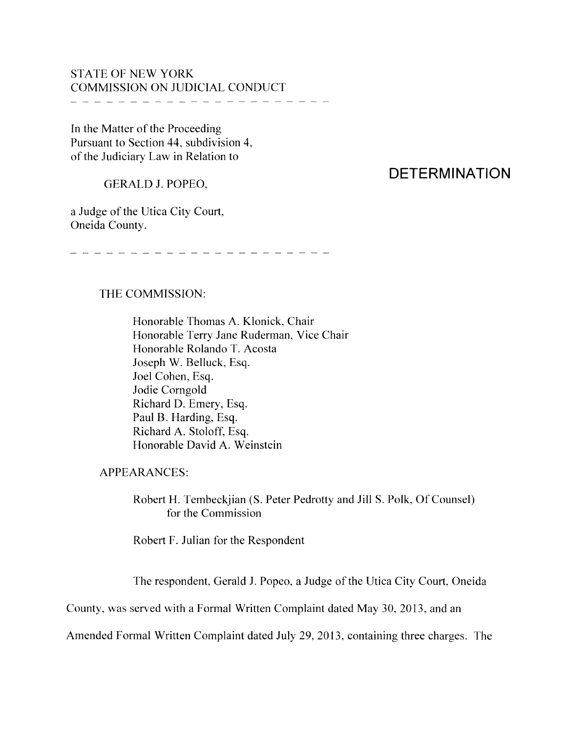## STATE OF NEW YORK COMMISSION ON JUDICIAL CONDUCT

-------------------

In the Matter of the Proceeding Pursuant to Section 44, subdivision 4, of the Judiciary Law in Relation to

GERALD J. POPEO,

# **DETERMINATION**

a Judge of the Utica City Court, Oneida County.

-----------------------

#### THE COMMISSION:

Honorable Thomas A. Klonick, Chair Honorable Terry Jane Ruderman, Vice Chair Honorable Rolando T. Acosta Joseph W. Belluck, Esq. Joel Cohen, Esq. Jodie Comgold Richard D. Emery, Esq. Paul B. Harding, Esq. Richard A. Stoloff, Esq. Honorable David A. Weinstein

APPEARANCES:

Robert H. Tembeckjian (S. Peter Pedrotty and Jill S. Polk, Of Counsel) for the Commission

Robert F. Julian for the Respondent

The respondent, Gerald J. Popeo, a Judge of the Utica City Court, Oneida

County, was served with a Formal Written Complaint dated May 30, 2013, and an

Amended Formal Written Complaint dated July 29, 2013, containing three charges. The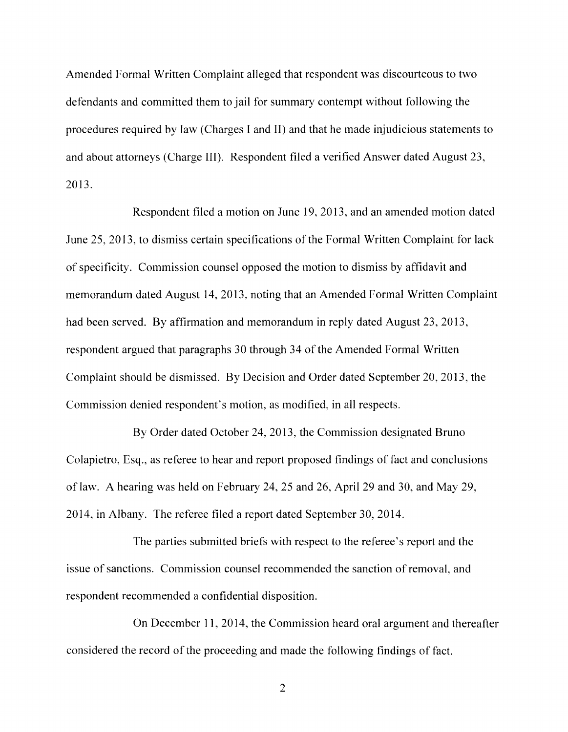Amended Formal Written Complaint alleged that respondent was discourteous to two defendants and committed them to jail for summary contempt without following the procedures required by law (Charges I and II) and that he made injudicious statements to and about attorneys (Charge III). Respondent filed a verified Answer dated August 23, 2013.

Respondent filed a motion on June 19,2013, and an amended motion dated June 25, 2013, to dismiss certain specifications of the Formal Written Complaint for lack of specificity. Commission counsel opposed the motion to dismiss by affidavit and memorandum dated August 14,2013, noting that an Amended Formal Written Complaint had been served. By affirmation and memorandum in reply dated August 23, 2013, respondent argued that paragraphs 30 through 34 of the Amended Formal Written Complaint should be dismissed. By Decision and Order dated September 20,2013, the Commission denied respondent's motion, as modified, in all respects.

By Order dated October 24, 2013, the Commission designated Bruno Colapietro, Esq., as referee to hear and report proposed findings of fact and conclusions oflaw. A hearing was held on February 24, 25 and 26, April 29 and 30, and May 29, 2014, in Albany. The referee filed a report dated September 30,2014.

The parties submitted briefs with respect to the referee's report and the issue of sanctions. Commission counsel recommended the sanction of removal, and respondent recommended a confidential disposition.

On December 11, 2014, the Commission heard oral argument and thereafter considered the record of the proceeding and made the following findings of fact.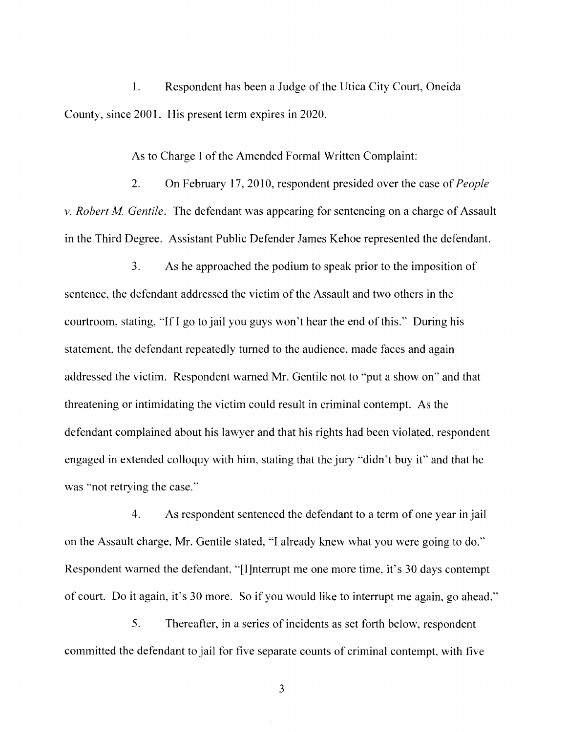1. Respondent has been a Judge of the Utica City Court, Oneida County, since 2001. His present term expires in 2020.

As to Charge I of the Amended Formal Written Complaint:

2. On February 17,2010, respondent presided over the case of*People* v. *Robert M Gentile.* The defendant was appearing for sentencing on a charge of Assault in the Third Degree. Assistant Public Defender James Kehoe represented the defendant.

3. As he approached the podium to speak prior to the imposition of sentence, the defendant addressed the victim of the Assault and two others in the courtroom, stating, "If I go to jail you guys won't hear the end ofthis." During his statement, the defendant repeatedly turned to the audience, made faces and again addressed the victim. Respondent warned Mr. Gentile not to "put a show on" and that threatening or intimidating the victim could result in criminal contempt. As the defendant complained about his lawyer and that his rights had been violated, respondent engaged in extended colloquy with him, stating that the jury "didn't buy it" and that he was "not retrying the case."

4. As respondent sentenced the defendant to a term of one year in jail on the Assault charge, Mr. Gentile stated, "I already knew what you were going to do." Respondent warned the defendant, "[I]nterrupt me one more time, it's 30 days contempt of court. Do it again, it's 30 more. So if you would like to interrupt me again, go ahead."

5. Thereafter, in a series of incidents as set forth below, respondent committed the defendant to jail for five separate counts of criminal contempt, with five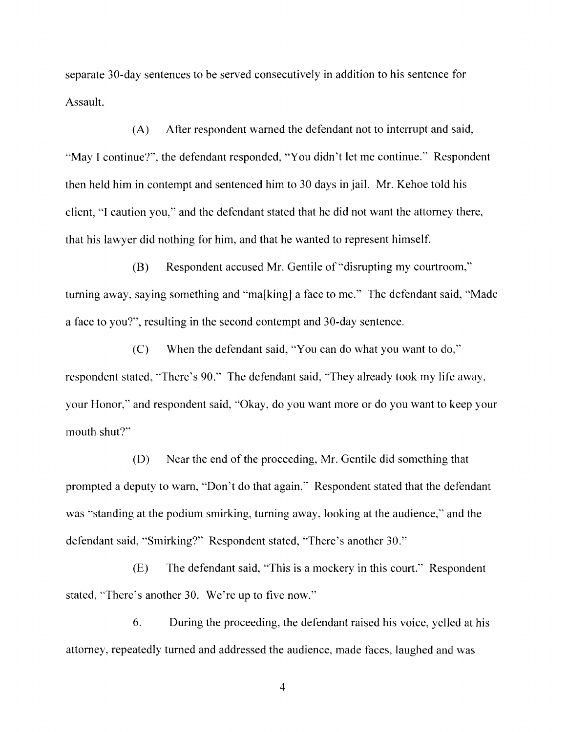separate 30-day sentences to be served consecutively in addition to his sentence for Assault.

(A) After respondent warned the defendant not to interrupt and said, "May 1 continue?", the defendant responded, "You didn't let me continue." Respondent then held him in contempt and sentenced him to 30 days in jail. Mr. Kehoe told his client, "I caution you," and the defendant stated that he did not want the attorney there, that his lawyer did nothing for him, and that he wanted to represent himself.

(B) Respondent accused Mr. Gentile of "disrupting my courtroom," turning away, saying something and "ma[king] a face to me." The defendant said, "Made a face to you?", resulting in the second contempt and 30-day sentence.

(C) When the defendant said, "You can do what you want to do," respondent stated, "There's 90." The defendant said, "They already took my life away, your Honor," and respondent said, "Okay, do you want more or do you want to keep your mouth shut?"

(D) Near the end of the proceeding, Mr. Gentile did something that prompted a deputy to warn, "Don't do that again." Respondent stated that the defendant was "standing at the podium smirking, turning away, looking at the audience," and the defendant said, "Smirking?" Respondent stated, 'There's another 30."

(E) The defendant said, "This is a mockery in this court." Respondent stated, "There's another 30. We're up to five now."

6. During the proceeding, the defendant raised his voice, yelled at his attorney, repeatedly turned and addressed the audience, made faces, laughed and was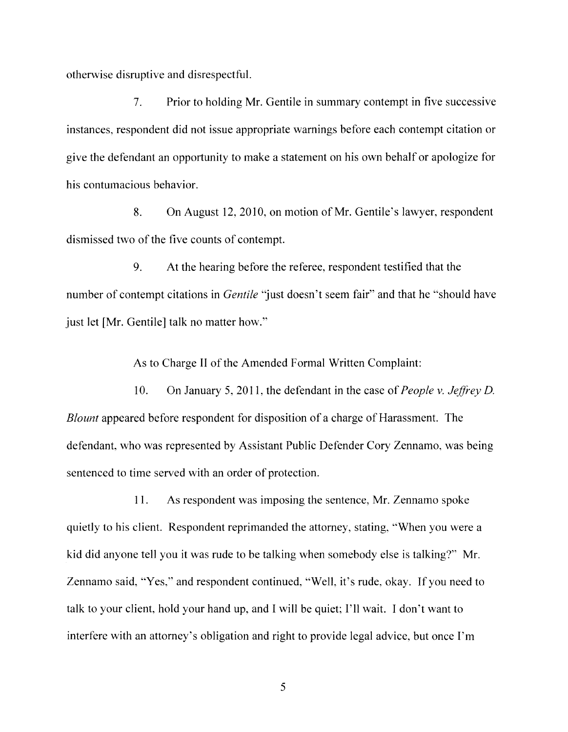otherwise disruptive and disrespectful.

7. Prior to holding Mr. Gentile in summary contempt in five successive instances, respondent did not issue appropriate warnings before each contempt citation or give the defendant an opportunity to make a statement on his own behalf or apologize for his contumacious behavior.

8. On August 12, 2010, on motion of Mr. Gentile's lawyer, respondent dismissed two of the five counts of contempt.

9. At the hearing before the referee, respondent testified that the number of contempt citations in *Gentile* "just doesn't seem fair" and that he "should have just let [Mr. Gentile] talk no matter how."

As to Charge II of the Amended Formal Written Complaint:

10. On January 5, 2011, the defendant in the case of *People* v. *Jeffrey* D. *Blount* appeared before respondent for disposition of a charge of Harassment. The defendant, who was represented by Assistant Public Defender Cory Zennamo, was being sentenced to time served with an order of protection.

11. As respondent was imposing the sentence, Mr. Zennamo spoke quietly to his client. Respondent reprimanded the attorney, stating, "When you were a kid did anyone tell you it was rude to be talking when somebody else is talking?" Mr. Zennamo said, "Yes," and respondent continued, "Well, it's rude, okay. If you need to talk to your client, hold your hand up, and I will be quiet; I'll wait. I don't want to interfere with an attorney's obligation and right to provide legal advice, but once I'm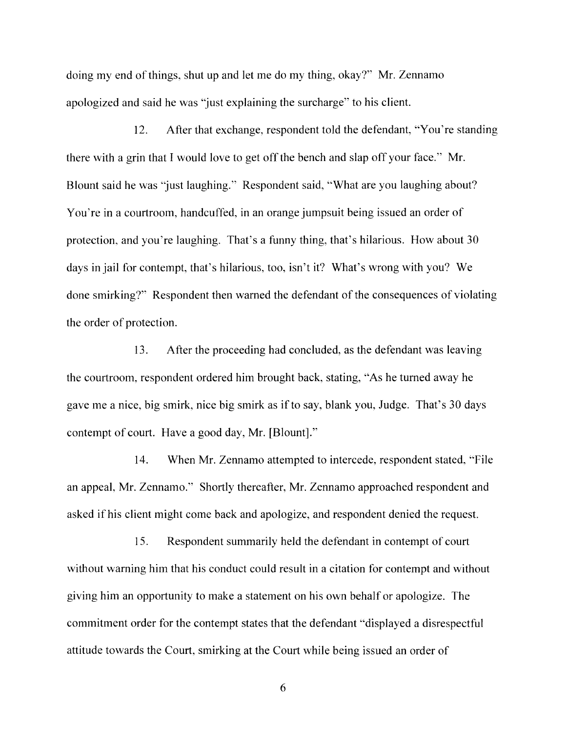doing my end of things, shut up and let me do my thing, okay?" Mr. Zennamo apologized and said he was "just explaining the surcharge" to his client.

12. After that exchange, respondent told the defendant, "You're standing there with a grin that I would love to get off the bench and slap off your face." Mr. Blount said he was "just laughing." Respondent said, "What are you laughing about? You're in a courtroom, handcuffed, in an orange jumpsuit being issued an order of protection, and you're laughing. That's a funny thing, that's hilarious. How about 30 days in jail for contempt, that's hilarious, too, isn't it? What's wrong with you? We done smirking?" Respondent then warned the defendant of the consequences of violating the order of protection.

13. After the proceeding had concluded, as the defendant was leaving the courtroom, respondent ordered him brought back, stating, "As he turned away he gave me a nice, big smirk, nice big smirk as ifto say, blank you, Judge. That's 30 days contempt of court. Have a good day, Mr. [Blount]."

14. When Mr. Zennamo attempted to intercede, respondent stated, "File an appeal, Mr. Zennamo." Shortly thereafter, Mr. Zennamo approached respondent and asked ifhis client might come back and apologize, and respondent denied the request.

15. Respondent summarily held the defendant in contempt of court without warning him that his conduct could result in a citation for contempt and without giving him an opportunity to make a statement on his own behalf or apologize. The commitment order for the contempt states that the defendant "displayed a disrespectful attitude towards the Court, smirking at the Court while being issued an order of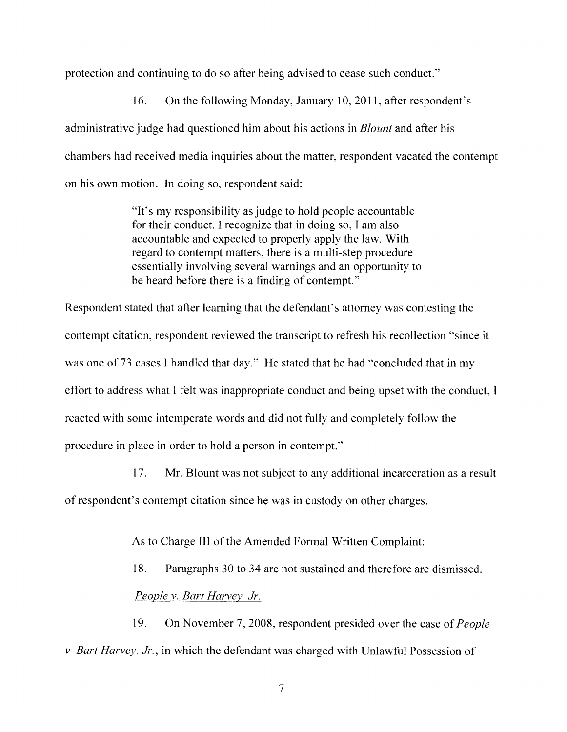protection and continuing to do so after being advised to cease such conduct."

16. On the following Monday, January 10,2011, after respondent's administrative judge had questioned him about his actions in *Blount* and after his chambers had received media inquiries about the matter, respondent vacated the contempt on his own motion. In doing so, respondent said:

> "It's my responsibility as judge to hold people accountable for their conduct. I recognize that in doing so, I am also accountable and expected to properly apply the law. With regard to contempt matters, there is a multi-step procedure essentially involving several warnings and an opportunity to be heard before there is a finding of contempt."

Respondent stated that after learning that the defendant's attorney was contesting the contempt citation, respondent reviewed the transcript to refresh his recollection "since it was one of 73 cases I handled that day." He stated that he had "concluded that in my effort to address what I felt was inappropriate conduct and being upset with the conduct, I reacted with some intemperate words and did not fully and completely follow the procedure in place in order to hold a person in contempt."

17. Mr. Blount was not subject to any additional incarceration as a result ofrespondent's contempt citation since he was in custody on other charges.

As to Charge III of the Amended Formal Written Complaint:

18. Paragraphs 30 to 34 are not sustained and therefore are dismissed. *People v. Bart Harvey, Jr.*

19. On November 7, 2008, respondent presided over the case of*People v. Bart Harvey, Jr.,* in which the defendant was charged with Unlawful Possession of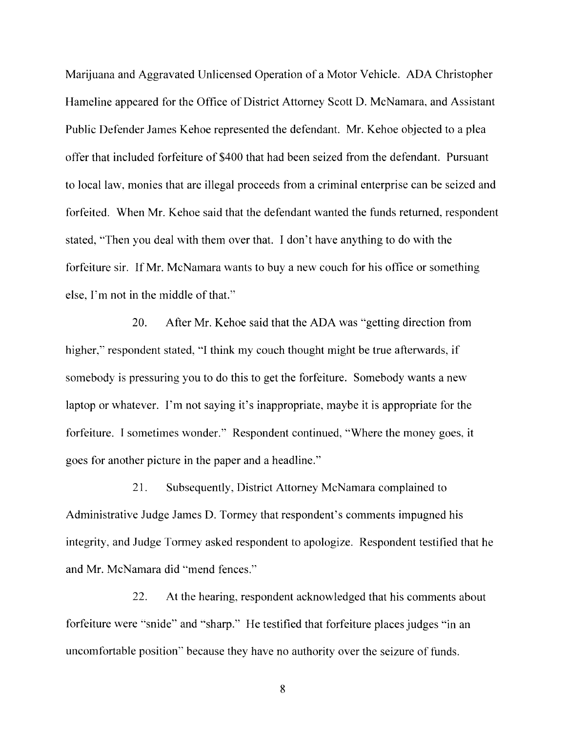Marijuana and Aggravated Unlicensed Operation of a Motor Vehicle. ADA Christopher Hameline appeared for the Office of District Attorney Scott D. McNamara, and Assistant Public Defender James Kehoe represented the defendant. Mr. Kehoe objected to a plea offer that included forfeiture of \$400 that had been seized from the defendant. Pursuant to local law, monies that are illegal proceeds from a criminal enterprise can be seized and forfeited. When Mr. Kehoe said that the defendant wanted the funds returned, respondent stated, "Then you deal with them over that. I don't have anything to do with the forfeiture sir. If Mr. McNamara wants to buy a new couch for his office or something else, I'm not in the middle of that."

20. After Mr. Kehoe said that the ADA was "getting direction from higher," respondent stated, "I think my couch thought might be true afterwards, if somebody is pressuring you to do this to get the forfeiture. Somebody wants a new laptop or whatever. I'm not saying it's inappropriate, maybe it is appropriate for the forfeiture. I sometimes wonder." Respondent continued, "Where the money goes, it goes for another picture in the paper and a headline."

21. Subsequently, District Attorney McNamara complained to Administrative Judge James D. Tormey that respondent's comments impugned his integrity, and Judge Tormey asked respondent to apologize. Respondent testified that he and Mr. McNamara did "mend fences."

22. At the hearing, respondent acknowledged that his comments about forfeiture were "snide" and "sharp." He testified that forfeiture places judges "in an uncomfortable position" because they have no authority over the seizure of funds.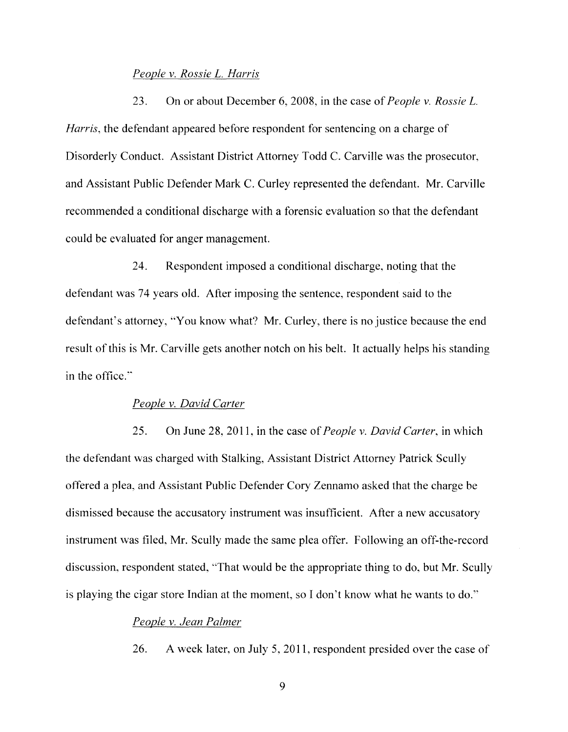#### *People* v. *Rossie* L. *Harris*

23. On or about December 6, 2008, in the case of*People* v. *Rossie* L. *Harris,* the defendant appeared before respondent for sentencing on a charge of Disorderly Conduct. Assistant District Attorney Todd C. Carville was the prosecutor, and Assistant Public Defender Mark C. Curley represented the defendant. Mr. Carville recommended a conditional discharge with a forensic evaluation so that the defendant could be evaluated for anger management.

24. Respondent imposed a conditional discharge, noting that the defendant was 74 years old. After imposing the sentence, respondent said to the defendant's attorney, "You know what? Mr. Curley, there is no justice because the end result of this is Mr. Carville gets another notch on his belt. It actually helps his standing in the office."

#### *People* v. *David Carter*

25. On June 28, 2011, in the case of*People* v. *David Carter,* in which the defendant was charged with Stalking, Assistant District Attorney Patrick Scully offered a plea, and Assistant Public Defender Cory Zennamo asked that the charge be dismissed because the accusatory instrument was insufficient. After a new accusatory instrument was filed, Mr. Scully made the same plea offer. Following an off-the-record discussion, respondent stated, "That would be the appropriate thing to do, but Mr. Scully is playing the cigar store Indian at the moment, so I don't know what he wants to do."

### *People* v. *Jean Palmer*

26. A week later, on July 5, 2011, respondent presided over the case of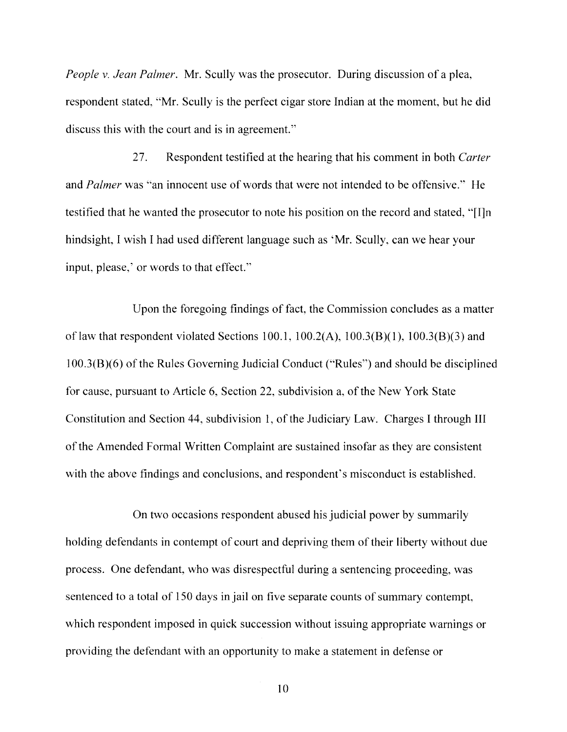*People* v. *Jean Palmer.* Mr. Scully was the prosecutor. During discussion of a plea, respondent stated, "Mr. Scully is the perfect cigar store Indian at the moment, but he did discuss this with the court and is in agreement."

27. Respondent testified at the hearing that his comment in both *Carter* and *Palmer* was "an innocent use of words that were not intended to be offensive." He testified that he wanted the prosecutor to note his position on the record and stated, "[I]n hindsight, I wish I had used different language such as 'Mr. Scully, can we hear your input, please,' or words to that effect."

Upon the foregoing findings of fact, the Commission concludes as a matter of law that respondent violated Sections 100.1,  $100.2(A)$ ,  $100.3(B)(1)$ ,  $100.3(B)(3)$  and  $100.3(B)(6)$  of the Rules Governing Judicial Conduct ("Rules") and should be disciplined for cause, pursuant to Article 6, Section 22, subdivision a, of the New York State Constitution and Section 44, subdivision 1, of the Judiciary Law. Charges I through III of the Amended Formal Written Complaint are sustained insofar as they are consistent with the above findings and conclusions, and respondent's misconduct is established.

On two occasions respondent abused his judicial power by summarily holding defendants in contempt of court and depriving them of their liberty without due process. One defendant, who was disrespectful during a sentencing proceeding, was sentenced to a total of 150 days in jail on five separate counts of summary contempt, which respondent imposed in quick succession without issuing appropriate warnings or providing the defendant with an opportunity to make a statement in defense or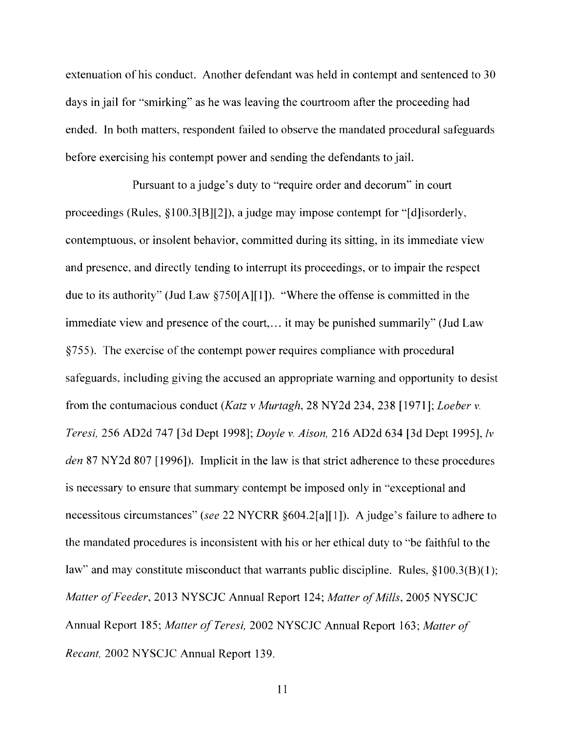extenuation of his conduct. Another defendant was held in contempt and sentenced to 30 days in jail for "smirking" as he was leaving the courtroom after the proceeding had ended. In both matters, respondent failed to observe the mandated procedural safeguards before exercising his contempt power and sending the defendants to jail.

Pursuant to a judge's duty to "require order and decorum" in court proceedings (Rules, §100.3[B][2]), a judge may impose contempt for "[d]isorderly, contemptuous, or insolent behavior, committed during its sitting, in its immediate view and presence, and directly tending to interrupt its proceedings, or to impair the respect due to its authority" (Jud Law §750[A][I]). "Where the offense is committed in the immediate view and presence of the court,... it may be punished summarily" (Jud Law §755). The exercise of the contempt power requires compliance with procedural safeguards, including giving the accused an appropriate warning and opportunity to desist from the contumacious conduct *(Katz* v *Murtagh,* 28 NY2d 234,238 [1971]; *Loeber* v. *Teresi,* 256 AD2d 747 [3d Dept 1998]; *Doyle* v. *Aison,* 216 AD2d 634 [3d Dept 1995], *Iv den* 87 NY2d 807 [1996]). Implicit in the law is that strict adherence to these procedures is necessary to ensure that summary contempt be imposed only in "exceptional and necessitous circumstances" *(see* 22 NYCRR §604.2[a][I]). Ajudge's failure to adhere to the mandated procedures is inconsistent with his or her ethical duty to "be faithful to the law" and may constitute misconduct that warrants public discipline. Rules,  $\S 100.3(B)(1)$ ; *Matter of Feeder,* 2013 NYSCJC Annual Report 124; *Matter of Mills,* 2005 NYSCJC Annual Report 185; *Matter afTeresi,* 2002 NYSCJC Annual Report 163; *Matter of Recant,* 2002 NYSCJC Annual Report 139.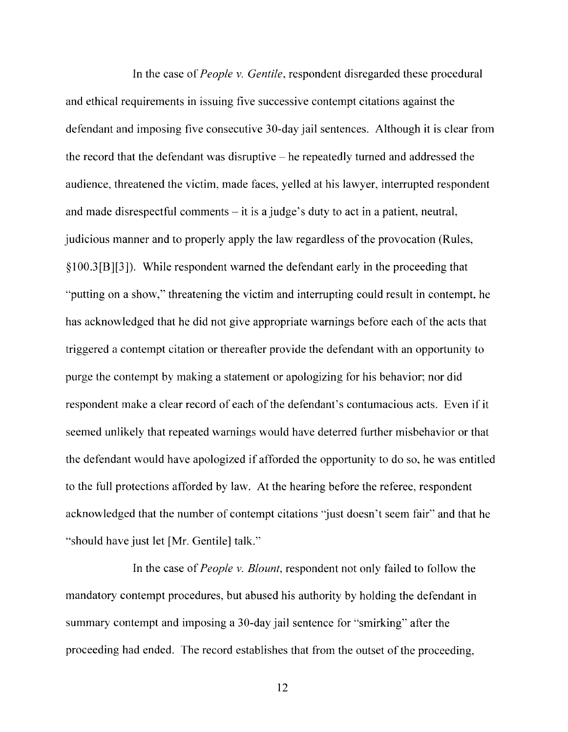In the case of*People* v. *Gentile,* respondent disregarded these procedural and ethical requirements in issuing five successive contempt citations against the defendant and imposing five consecutive 30-day jail sentences. Although it is clear from the record that the defendant was disruptive - he repeatedly turned and addressed the audience, threatened the victim, made faces, yelled at his lawyer, interrupted respondent and made disrespectful comments  $-$  it is a judge's duty to act in a patient, neutral, judicious manner and to properly apply the law regardless of the provocation (Rules, §100.3[B][3]). While respondent warned the defendant early in the proceeding that "putting on a show," threatening the victim and interrupting could result in contempt, he has acknowledged that he did not give appropriate warnings before each of the acts that triggered a contempt citation or thereafter provide the defendant with an opportunity to purge the contempt by making a statement or apologizing for his behavior; nor did respondent make a clear record of each of the defendant's contumacious acts. Even if it seemed unlikely that repeated warnings would have deterred further misbehavior or that the defendant would have apologized if afforded the opportunity to do so, he was entitled to the full protections afforded by law. At the hearing before the referee, respondent acknowledged that the number of contempt citations 'just doesn't seem fair" and that he "should have just let [Mr. Gentile] talk."

In the case of*People* v. *Blount,* respondent not only failed to follow the mandatory contempt procedures, but abused his authority by holding the defendant in summary contempt and imposing a 30-day jail sentence for "smirking" after the proceeding had ended. The record establishes that from the outset of the proceeding,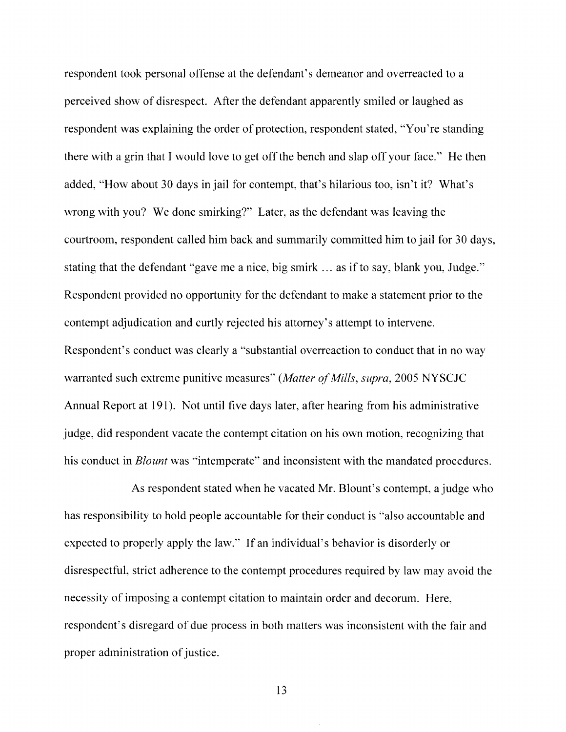respondent took personal offense at the defendant's demeanor and overreacted to a perceived show of disrespect. After the defendant apparently smiled or laughed as respondent was explaining the order of protection, respondent stated, "You're standing there with a grin that I would love to get off the bench and slap off your face." He then added, "How about 30 days in jail for contempt, that's hilarious too, isn't it? What's wrong with you? We done smirking?" Later, as the defendant was leaving the courtroom, respondent called him back and summarily committed him to jail for 30 days, stating that the defendant "gave me a nice, big smirk ... as if to say, blank you, Judge." Respondent provided no opportunity for the defendant to make a statement prior to the contempt adjudication and curtly rejected his attorney's attempt to intervene. Respondent's conduct was clearly a "substantial overreaction to conduct that in no way warranted such extreme punitive measures" *(Matter of Mills, supra, 2005 NYSCJC*) Annual Report at 191). Not until five days later, after hearing from his administrative judge, did respondent vacate the contempt citation on his own motion, recognizing that his conduct in *Blount* was "intemperate" and inconsistent with the mandated procedures.

As respondent stated when he vacated Mr. Blount's contempt, a judge who has responsibility to hold people accountable for their conduct is "also accountable and expected to properly apply the law." If an individual's behavior is disorderly or disrespectful, strict adherence to the contempt procedures required by law may avoid the necessity of imposing a contempt citation to maintain order and decorum. Here, respondent's disregard of due process in both matters was inconsistent with the fair and proper administration of justice.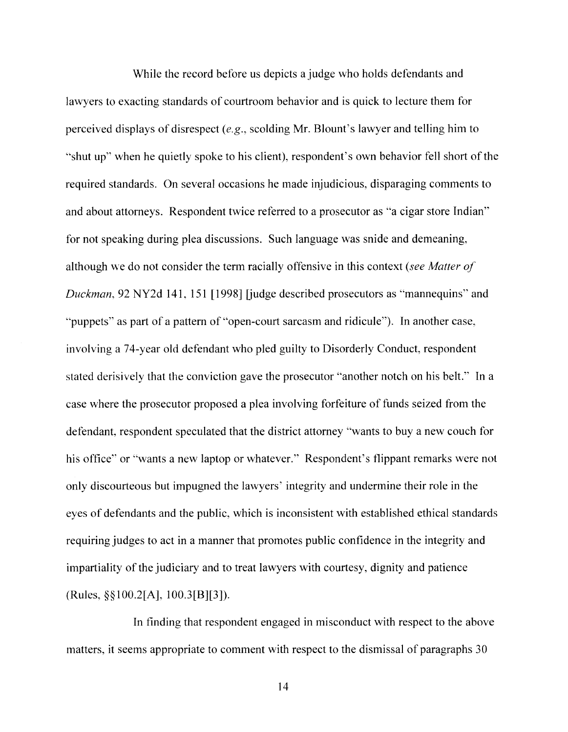While the record before us depicts a judge who holds defendants and lawyers to exacting standards of courtroom behavior and is quick to lecture them for perceived displays of disrespect *(e.g.,* scolding Mr. Blount's lawyer and telling him to "shut up" when he quietly spoke to his client), respondent's own behavior fell short of the required standards. On several occasions he made injudicious, disparaging comments to and about attorneys. Respondent twice referred to a prosecutor as "a cigar store Indian" for not speaking during plea discussions. Such language was snide and demeaning, although we do not consider the term racially offensive in this context *(see Matter of Duckman,* 92 NY2d 141, 151 [1998] [judge described prosecutors as "mannequins" and "puppets" as part of a pattern of "open-court sarcasm and ridicule"). **In** another case, involving a 74-year old defendant who pled guilty to Disorderly Conduct, respondent stated derisively that the conviction gave the prosecutor "another notch on his belt." **In** a case where the prosecutor proposed a plea involving forfeiture of funds seized from the defendant, respondent speculated that the district attorney "wants to buy a new couch for his office" or "wants a new laptop or whatever." Respondent's flippant remarks were not only discourteous but impugned the lawyers' integrity and undermine their role in the eyes of defendants and the public, which is inconsistent with established ethical standards requiring judges to act in a manner that promotes public confidence in the integrity and impartiality of the judiciary and to treat lawyers with courtesy, dignity and patience (Rules, §§100.2[A], 100.3[B][3]).

**In** finding that respondent engaged in misconduct with respect to the above matters, it seems appropriate to comment with respect to the dismissal of paragraphs 30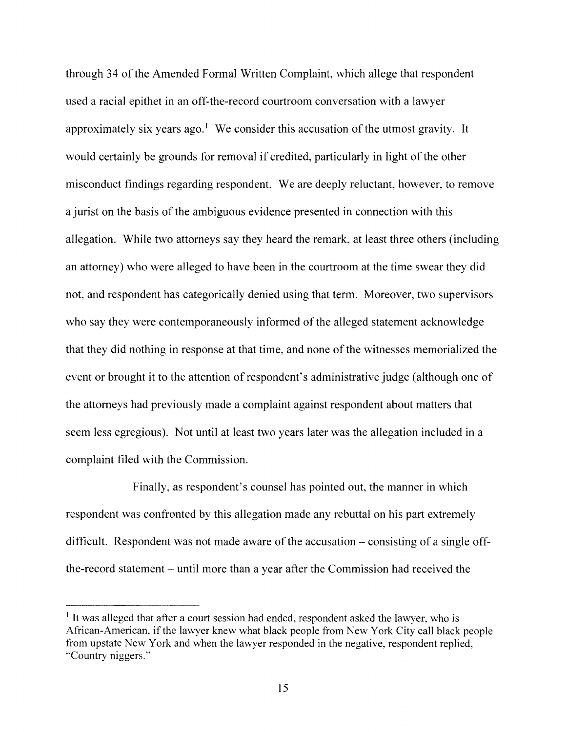through 34 of the Amended Formal Written Complaint, which allege that respondent used a racial epithet in an off-the-record courtroom conversation with a lawyer approximately six years ago.<sup>1</sup> We consider this accusation of the utmost gravity. It would certainly be grounds for removal if credited, particularly in light of the other misconduct findings regarding respondent. We are deeply reluctant, however, to remove a jurist on the basis of the ambiguous evidence presented in connection with this allegation. While two attorneys say they heard the remark, at least three others (including an attorney) who were alleged to have been in the courtroom at the time swear they did not, and respondent has categorically denied using that term. Moreover, two supervisors who say they were contemporaneously informed of the alleged statement acknowledge that they did nothing in response at that time, and none of the witnesses memorialized the event or brought it to the attention of respondent's administrative judge (although one of the attorneys had previously made a complaint against respondent about matters that seem less egregious). Not until at least two years later was the allegation included in a complaint filed with the Commission.

Finally, as respondent's counsel has pointed out, the manner in which respondent was confronted by this allegation made any rebuttal on his part extremely difficult. Respondent was not made aware of the accusation  $-$  consisting of a single offthe-record statement - until more than a year after the Commission had received the

I It was alleged that after a court session had ended, respondent asked the lawyer, who is African-American, if the lawyer knew what black people from New York City call black people from upstate New York and when the lawyer responded in the negative, respondent replied, "Country niggers."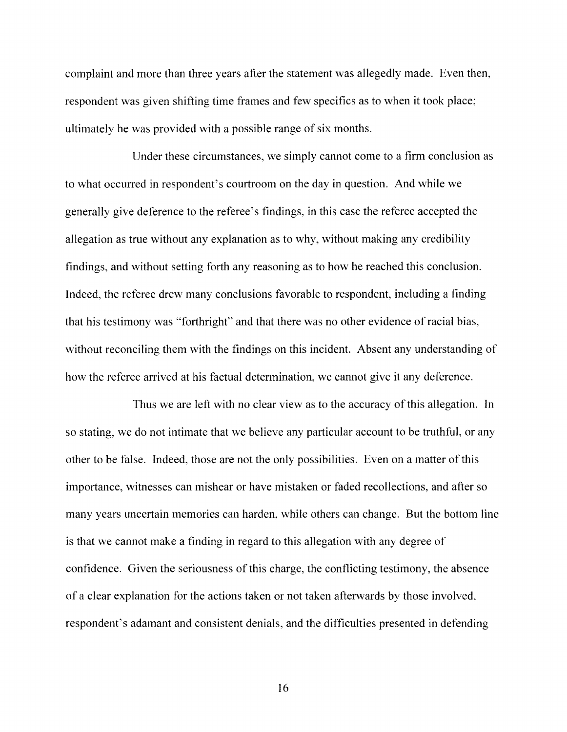complaint and more than three years after the statement was allegedly made. Even then, respondent was given shifting time frames and few specifics as to when it took place; ultimately he was provided with a possible range of six months.

Under these circumstances, we simply cannot come to a firm conclusion as to what occurred in respondent's courtroom on the day in question. And while we generally give deference to the referee's findings, in this case the referee accepted the allegation as true without any explanation as to why, without making any credibility findings, and without setting forth any reasoning as to how he reached this conclusion. Indeed, the referee drew many conclusions favorable to respondent, including a finding that his testimony was "forthright" and that there was no other evidence of racial bias, without reconciling them with the findings on this incident. Absent any understanding of how the referee arrived at his factual determination, we cannot give it any deference.

Thus we are left with no clear view as to the accuracy ofthis allegation. **In** so stating, we do not intimate that we believe any particular account to be truthful, or any other to be false. Indeed, those are not the only possibilities. Even on a matter ofthis importance, witnesses can mishear or have mistaken or faded recollections, and after so many years uncertain memories can harden, while others can change. But the bottom line is that we cannot make a finding in regard to this allegation with any degree of confidence. Given the seriousness of this charge, the conflicting testimony, the absence of a clear explanation for the actions taken or not taken afterwards by those involved, respondent's adamant and consistent denials, and the difficulties presented in defending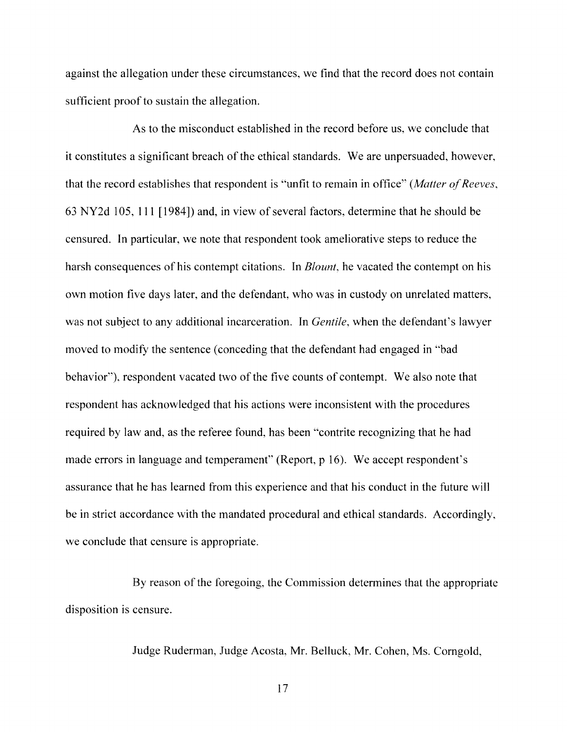against the allegation under these circumstances, we find that the record does not contain sufficient proof to sustain the allegation.

As to the misconduct established in the record before us, we conclude that it constitutes a significant breach of the ethical standards. We are unpersuaded, however, that the record establishes that respondent is "unfit to remain in office" *(Matter of Reeves,* 63 NY2d 105, 111 [1984]) and, in view of several factors, determine that he should be censured. In particular, we note that respondent took ameliorative steps to reduce the harsh consequences of his contempt citations. In *Blount,* he vacated the contempt on his own motion five days later, and the defendant, who was in custody on unrelated matters, was not subject to any additional incarceration. In *Gentile,* when the defendant's lawyer moved to modify the sentence (conceding that the defendant had engaged in "bad behavior"), respondent vacated two of the five counts of contempt. We also note that respondent has acknowledged that his actions were inconsistent with the procedures required by law and, as the referee found, has been "contrite recognizing that he had made errors in language and temperament" (Report, p 16). We accept respondent's assurance that he has learned from this experience and that his conduct in the future will be in strict accordance with the mandated procedural and ethical standards. Accordingly, we conclude that censure is appropriate.

By reason of the foregoing, the Commission determines that the appropriate disposition is censure.

Judge Ruderman, Judge Acosta, Mr. Belluck, Mr. Cohen, Ms. Corngold,